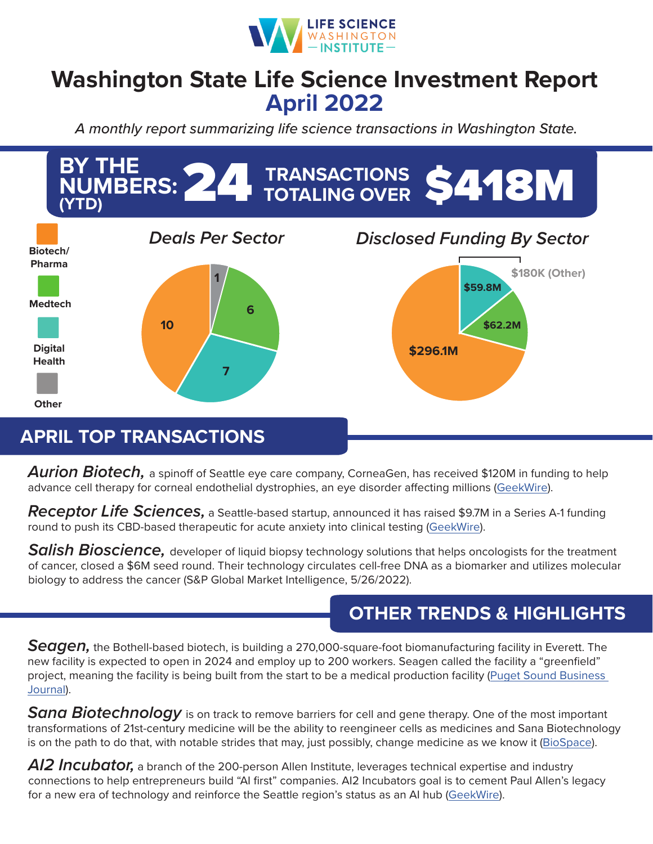

## **Washington State Life Science Investment Report April 2022**

*A monthly report summarizing life science transactions in Washington State.*



## **APRIL TOP TRANSACTIONS**

*Aurion Biotech,* a spinoff of Seattle eye care company, CorneaGen, has received \$120M in funding to help advance cell therapy for corneal endothelial dystrophies, an eye disorder affecting millions ([GeekWire\)](https://www.geekwire.com/2022/cell-therapy-biotech-raises-120m-to-advance-therapy-to-treat-common-cornea-condition/).

*Receptor Life Sciences,* a Seattle-based startup, announced it has raised \$9.7M in a Series A-1 funding round to push its CBD-based therapeutic for acute anxiety into clinical testing ([GeekWire](https://www.geekwire.com/2022/seattle-startup-raises-9-7m-for-clinical-trial-to-test-inhaled-cbd-as-anxiety-treatment/)).

*Salish Bioscience,* developer of liquid biopsy technology solutions that helps oncologists for the treatment of cancer, closed a \$6M seed round. Their technology circulates cell-free DNA as a biomarker and utilizes molecular biology to address the cancer (S&P Global Market Intelligence, 5/26/2022).

## **OTHER TRENDS & HIGHLIGHTS**

*Seagen,* the Bothell-based biotech, is building a 270,000-square-foot biomanufacturing facility in Everett. The new facility is expected to open in 2024 and employ up to 200 workers. Seagen called the facility a "greenfield" project, meaning the facility is being built from the start to be a medical production facility ([Puget Sound Business](https://www.bizjournals.com/seattle/news/2022/04/21/seagen-to-build-270k-sq-ft-facility-in-everett.html)  [Journal](https://www.bizjournals.com/seattle/news/2022/04/21/seagen-to-build-270k-sq-ft-facility-in-everett.html)).

*Sana Biotechnology* is on track to remove barriers for cell and gene therapy. One of the most important transformations of 21st-century medicine will be the ability to reengineer cells as medicines and Sana Biotechnology is on the path to do that, with notable strides that may, just possibly, change medicine as we know it [\(BioSpace\)](https://www.biospace.com/article/sana-on-track-to-remove-barriers-for-cell-and-gene-therapy-/).

AI2 Incubator, a branch of the 200-person Allen Institute, leverages technical expertise and industry connections to help entrepreneurs build "AI first" companies. AI2 Incubators goal is to cement Paul Allen's legacy for a new era of technology and reinforce the Seattle region's status as an AI hub ([GeekWire](https://www.geekwire.com/2022/inside-the-ai2-incubator-microsoft-co-founders-unfinished-legacy-fuels-quest-for-new-ai-startups/)).